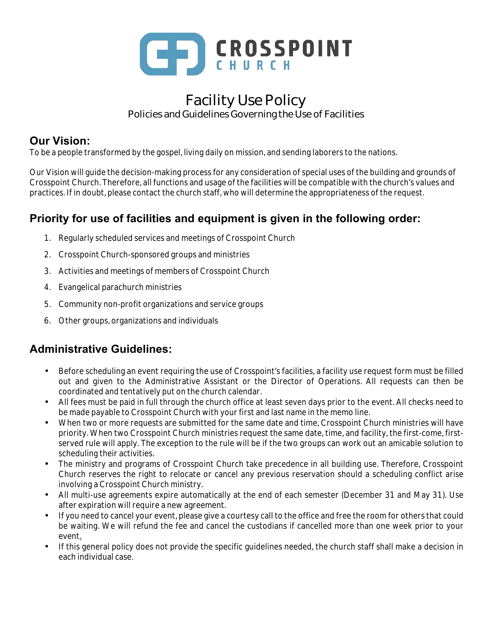

# Facility Use Policy Policies and Guidelines Governing the Use of Facilities

## **Our Vision:**

To be a people transformed by the gospel, living daily on mission, and sending laborers to the nations.

Our Vision will guide the decision-making process for any consideration of special uses of the building and grounds of Crosspoint Church. Therefore, all functions and usage of the facilities will be compatible with the church's values and practices. If in doubt, please contact the church staff, who will determine the appropriateness of the request.

# **Priority for use of facilities and equipment is given in the following order:**

- 1. Regularly scheduled services and meetings of Crosspoint Church
- 2. Crosspoint Church-sponsored groups and ministries
- 3. Activities and meetings of members of Crosspoint Church
- 4. Evangelical parachurch ministries
- 5. Community non-profit organizations and service groups
- 6. Other groups, organizations and individuals

## **Administrative Guidelines:**

- Before scheduling an event requiring the use of Crosspoint's facilities, a facility use request form must be filled out and given to the Administrative Assistant or the Director of Operations. All requests can then be coordinated and tentatively put on the church calendar.
- All fees must be paid in full through the church office at least seven days prior to the event. All checks need to be made payable to Crosspoint Church with your first and last name in the memo line.
- When two or more requests are submitted for the same date and time, Crosspoint Church ministries will have priority. When two Crosspoint Church ministries request the same date, time, and facility, the first-come, firstserved rule will apply. The exception to the rule will be if the two groups can work out an amicable solution to scheduling their activities.
- The ministry and programs of Crosspoint Church take precedence in all building use. Therefore, Crosspoint Church reserves the right to relocate or cancel any previous reservation should a scheduling conflict arise involving a Crosspoint Church ministry.
- All multi-use agreements expire automatically at the end of each semester (December 31 and May 31). Use after expiration will require a new agreement.
- If you need to cancel your event, please give a courtesy call to the office and free the room for others that could be waiting. We will refund the fee and cancel the custodians if cancelled more than one week prior to your event.
- If this general policy does not provide the specific guidelines needed, the church staff shall make a decision in each individual case.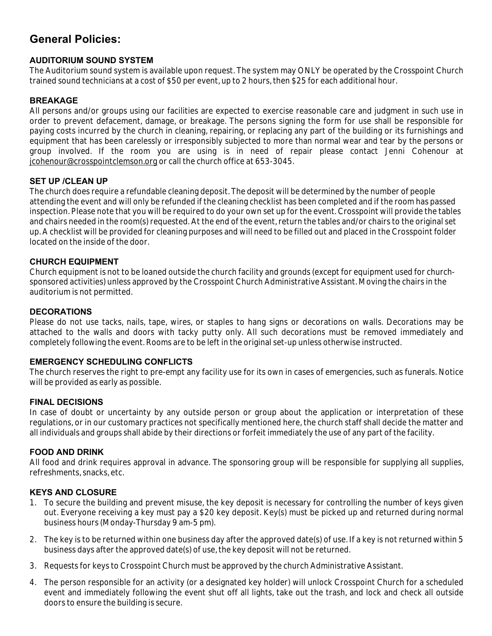## **General Policies:**

## **AUDITORIUM SOUND SYSTEM**

The Auditorium sound system is available upon request. The system may ONLY be operated by the Crosspoint Church trained sound technicians at a cost of \$50 per event, up to 2 hours, then \$25 for each additional hour.

## **BREAKAGE**

All persons and/or groups using our facilities are expected to exercise reasonable care and judgment in such use in order to prevent defacement, damage, or breakage. The persons signing the form for use shall be responsible for paying costs incurred by the church in cleaning, repairing, or replacing any part of the building or its furnishings and equipment that has been carelessly or irresponsibly subjected to more than normal wear and tear by the persons or group involved. If the room you are using is in need of repair please contact Jenni Cohenour at jcohenour@crosspointclemson.org or call the church office at 653-3045.

## **SET UP /CLEAN UP**

The church does require a refundable cleaning deposit. The deposit will be determined by the number of people attending the event and will only be refunded if the cleaning checklist has been completed and if the room has passed inspection. Please note that you will be required to do your own set up for the event. Crosspoint will provide the tables and chairs needed in the room(s) requested. At the end of the event, return the tables and/or chairs to the original set up. A checklist will be provided for cleaning purposes and will need to be filled out and placed in the Crosspoint folder located on the inside of the door.

## **CHURCH EQUIPMENT**

Church equipment is not to be loaned outside the church facility and grounds (except for equipment used for churchsponsored activities) unless approved by the Crosspoint Church Administrative Assistant. Moving the chairs in the auditorium is not permitted.

#### **DECORATIONS**

Please do not use tacks, nails, tape, wires, or staples to hang signs or decorations on walls. Decorations may be attached to the walls and doors with tacky putty only. All such decorations must be removed immediately and completely following the event. Rooms are to be left in the original set-up unless otherwise instructed.

#### **EMERGENCY SCHEDULING CONFLICTS**

The church reserves the right to pre-empt any facility use for its own in cases of emergencies, such as funerals. Notice will be provided as early as possible.

#### **FINAL DECISIONS**

In case of doubt or uncertainty by any outside person or group about the application or interpretation of these regulations, or in our customary practices not specifically mentioned here, the church staff shall decide the matter and all individuals and groups shall abide by their directions or forfeit immediately the use of any part of the facility.

#### **FOOD AND DRINK**

All food and drink requires approval in advance. The sponsoring group will be responsible for supplying all supplies, refreshments, snacks, etc.

## **KEYS AND CLOSURE**

- 1. To secure the building and prevent misuse, the key deposit is necessary for controlling the number of keys given out. Everyone receiving a key must pay a \$20 key deposit. Key(s) must be picked up and returned during normal business hours (Monday-Thursday 9 am-5 pm).
- 2. The key is to be returned within one business day after the approved date(s) of use. If a key is not returned within 5 business days after the approved date(s) of use, the key deposit will not be returned.
- 3. Requests for keys to Crosspoint Church must be approved by the church Administrative Assistant.
- 4. The person responsible for an activity (or a designated key holder) will unlock Crosspoint Church for a scheduled event and immediately following the event shut off all lights, take out the trash, and lock and check all outside doors to ensure the building is secure.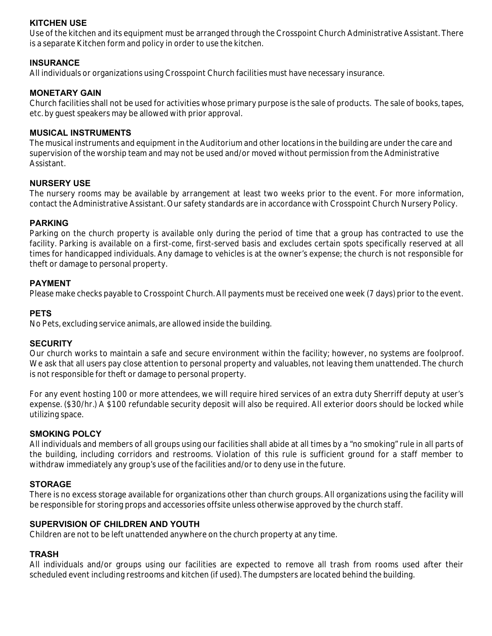## **KITCHEN USE**

Use of the kitchen and its equipment must be arranged through the Crosspoint Church Administrative Assistant. There is a separate Kitchen form and policy in order to use the kitchen.

## **INSURANCE**

All individuals or organizations using Crosspoint Church facilities must have necessary insurance.

## **MONETARY GAIN**

Church facilities shall not be used for activities whose primary purpose is the sale of products. The sale of books, tapes, etc. by guest speakers may be allowed with prior approval.

#### **MUSICAL INSTRUMENTS**

The musical instruments and equipment in the Auditorium and other locations in the building are under the care and supervision of the worship team and may not be used and/or moved without permission from the Administrative Assistant.

#### **NURSERY USE**

The nursery rooms may be available by arrangement at least two weeks prior to the event. For more information, contact the Administrative Assistant. Our safety standards are in accordance with Crosspoint Church Nursery Policy.

## **PARKING**

Parking on the church property is available only during the period of time that a group has contracted to use the facility. Parking is available on a first-come, first-served basis and excludes certain spots specifically reserved at all times for handicapped individuals. Any damage to vehicles is at the owner's expense; the church is not responsible for theft or damage to personal property.

## **PAYMENT**

Please make checks payable to Crosspoint Church. All payments must be received one week (7 days) prior to the event.

## **PETS**

No Pets, excluding service animals, are allowed inside the building.

#### **SECURITY**

Our church works to maintain a safe and secure environment within the facility; however, no systems are foolproof. We ask that all users pay close attention to personal property and valuables, not leaving them unattended. The church is not responsible for theft or damage to personal property.

For any event hosting 100 or more attendees, we will require hired services of an extra duty Sherriff deputy at user's expense. (\$30/hr.) A \$100 refundable security deposit will also be required. All exterior doors should be locked while utilizing space.

#### **SMOKING POLCY**

All individuals and members of all groups using our facilities shall abide at all times by a "no smoking" rule in all parts of the building, including corridors and restrooms. Violation of this rule is sufficient ground for a staff member to withdraw immediately any group's use of the facilities and/or to deny use in the future.

## **STORAGE**

There is no excess storage available for organizations other than church groups. All organizations using the facility will be responsible for storing props and accessories offsite unless otherwise approved by the church staff.

#### **SUPERVISION OF CHILDREN AND YOUTH**

Children are not to be left unattended anywhere on the church property at any time.

#### **TRASH**

All individuals and/or groups using our facilities are expected to remove all trash from rooms used after their scheduled event including restrooms and kitchen (if used). The dumpsters are located behind the building.